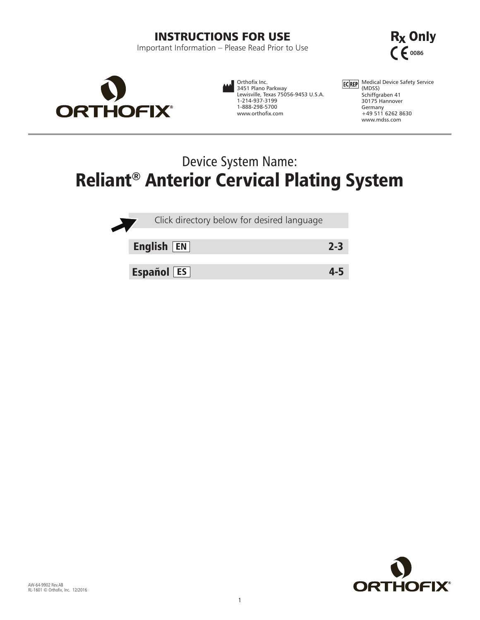# INSTRUCTIONS FOR USE

Important Information – Please Read Prior to Use





Orthofix Inc. 3451 Plano Parkway Lewisville, Texas 75056-9453 U.S.A. 1-214-937-3199 1-888-298-5700 www.orthofix.com

Medical Device Safety Service (MDSS) Schiffgraben 41 30175 Hannover Germany +49 511 6262 8630 www.mdss.com

# Device System Name: Reliant® Anterior Cervical Plating System

| Click directory below for desired language |         |
|--------------------------------------------|---------|
| English $ EN $                             | $2 - 3$ |
| <b>Español ES</b>                          |         |

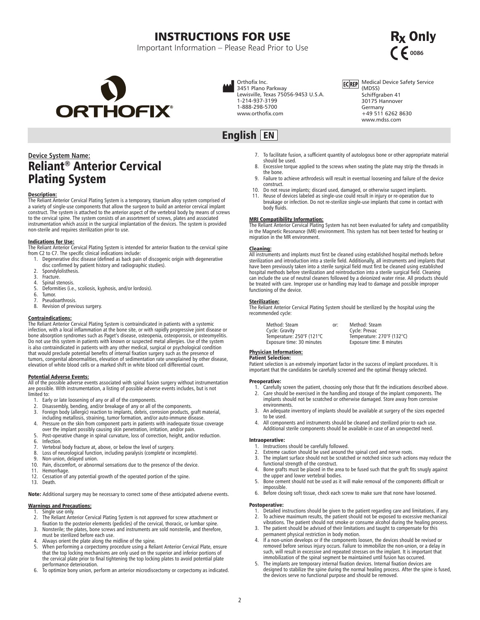# INSTRUCTIONS FOR USE

Important Information – Please Read Prior to Use

<span id="page-1-0"></span>

Orthofix Inc. 3451 Plano Parkway Lewisville, Texas 75056-9453 U.S.A. 1-214-937-3199 1-888-298-5700 www.orthofix.com



# **Device System Name:** Reliant® Anterior Cervical Plating System

**Description:**<br>The Reliant Anterior Cervical Plating System is a temporary, titanium alloy system comprised of a variety of single-use components that allow the surgeon to build an anterior cervical implant construct. The system is attached to the anterior aspect of the vertebral body by means of screws to the cervical spine. The system consists of an assortment of screws, plates and associated instrumentation which assist in the surgical implantation of the devices. The system is provided non-sterile and requires sterilization prior to use.

# Indications for Use:

The Reliant Anterior Cervical Plating System is intended for anterior fixation to the cervical spine from C2 to C7. The specific clinical indications include:

- 1. Degenerative disc disease (defined as back pain of discogenic origin with degenerative disc confirmed by patient history and radiographic studies).
- 2. Spondylolisthesis.<br>3. Fracture.
- 3. Fracture.<br>4. Spinal ste
- 
- 4. Spinal stenosis.<br>5. Deformities (i.e. Deformities (i.e., scoliosis, kyphosis, and/or lordosis).
- 6. Tumor.
- 7. Pseudoarthrosis.<br>8. Revision of prev
- Revision of previous surgery.

# Contraindications:

The Reliant Anterior Cervical Plating System is contraindicated in patients with a systemic infection, with a local inflammation at the bone site, or with rapidly progressive joint disease or bone absorption syndromes such as Paget's disease, osteopenia, osteoporosis, or osteomyelitis. Do not use this system in patients with known or suspected metal allergies. Use of the system is also contraindicated in patients with any other medical, surgical or psychological condition that would preclude potential benefits of internal fixation surgery such as the presence of tumors, congenital abnormalities, elevation of sedimentation rate unexplained by other disease, elevation of white blood cells or a marked shift in white blood cell differential count.

**Potential Adverse Events:**<br>All of the possible adverse events associated with spinal fusion surgery without instrumentation are possible. With instrumentation, a listing of possible adverse events includes, but is not limited to:

- 1. Early or late loosening of any or all of the components.
- 
- 2. Disassembly, bending, and/or breakage of any or all of the components. 3. Foreign body (allergic) reaction to implants, debris, corrosion products, graft material, including metallosis, straining, tumor formation, and/or auto-immune disease.
- 4. Pressure on the skin from component parts in patients with inadequate tissue coverage over the implant possibly causing skin penetration, irritation, and/or pain.
- 5. Post-operative change in spinal curvature, loss of correction, height, and/or reduction. 6. Infection.
- 
- 7. Vertebral body fracture at, above, or below the level of surgery. 8. Loss of neurological function, including paralysis (complete or incomplete).
- 9. Non-union, delayed union.<br>10. Pain, discomfort, or abnorn
- Pain, discomfort, or abnormal sensations due to the presence of the device.
- 11. Hemorrhage.<br>12. Cessation of
- Cessation of any potential growth of the operated portion of the spine. 13. Death.
- 

Note: Additional surgery may be necessary to correct some of these anticipated adverse events.

# Warnings and Precautions:

- Single use only.
- 2. The Reliant Anterior Cervical Plating System is not approved for screw attachment or fixation to the posterior elements (pedicles) of the cervical, thoracic, or lumbar spine.
- 3. Nonsterile; the plates, bone screws and instruments are sold nonsterile, and therefore, must be sterilized before each use.
- Always orient the plate along the midline of the spine.
- 5. When performing a corpectomy procedure using a Reliant Anterior Cervical Plate, ensure that the top locking mechanisms are only used on the superior and inferior portions of the cervical plate prior to final tightening the top locking plates to avoid potential plate performance deterioration.
- 6. To optimize bony union, perform an anterior microdiscectomy or corpectomy as indicated.
- 7. To facilitate fusion, a sufficient quantity of autologous bone or other appropriate material should be used. 8. Excessive torque applied to the screws when seating the plate may strip the threads in
- the bone. 9. Failure to achieve arthrodesis will result in eventual loosening and failure of the device
- construct. 10. Do not reuse implants; discard used, damaged, or otherwise suspect implants.
- Reuse of devices labeled as single-use could result in injury or re-operation due to breakage or infection. Do not re-sterilize single-use implants that come in contact with body fluids.

# MRI Compatibility Information:

The Reliant Anterior Cervical Plating System has not been evaluated for safety and compatibility in the Magnetic Resonance (MR) environment. This system has not been tested for heating or migration in the MR environment.

**Cleaning:**<br>All instruments and implants must first be cleaned using established hospital methods before<br>sterilization and introduction into a sterile field. Additionally, all instruments and implants that have been previously taken into a sterile surgical field must first be cleaned using established hospital methods before sterilization and reintroduction into a sterile surgical field. Cleaning can include the use of neutral cleaners followed by a deionized water rinse. All products should be treated with care. Improper use or handling may lead to damage and possible improper functioning of the device.

# Sterilization:

The Reliant Anterior Cervical Plating System should be sterilized by the hospital using the recommended cycle:

| Method: Steam             | or: | Method: Steam              |
|---------------------------|-----|----------------------------|
| Cycle: Gravity            |     | Cycle: Prevac              |
| Temperature: 250°F (121°C |     | Temperature: 270°F (132°C) |
| Exposure time: 30 minutes |     | Exposure time: 8 minutes   |
|                           |     |                            |

# Physician Information: Patient Selection:

Patient selection is an extremely important factor in the success of implant procedures. It is important that the candidates be carefully screened and the optimal therapy selected.

# Preoperative:

- 1. Carefully screen the patient, choosing only those that fit the indications described above.<br>2. Care should be exercised in the handling and storage of the implant components. The **2. Care should be exercised in the handling and storage of the implant components. The** implants should not be scratched or otherwise damaged. Store away from corrosive
- environments. 3. An adequate inventory of implants should be available at surgery of the sizes expected to be used.
- 4. All components and instruments should be cleaned and sterilized prior to each use. Additional sterile components should be available in case of an unexpected need.

# Intraoperative:

- 1. Instructions should be carefully followed.<br>2. Extreme caution should be used around to
- Extreme caution should be used around the spinal cord and nerve roots.
- 3. The implant surface should not be scratched or notched since such actions may reduce the functional strength of the construct.
- 4. Bone grafts must be placed in the area to be fused such that the graft fits snugly against the upper and lower vertebral bodies.
- 5. Bone cement should not be used as it will make removal of the components difficult or impossible.
- 6. Before closing soft tissue, check each screw to make sure that none have loosened.

# Postoperative:

- 1. Detailed instructions should be given to the patient regarding care and limitations, if any.
- 2. To achieve maximum results, the patient should not be exposed to excessive mechanical
- vibrations. The patient should not smoke or consume alcohol during the healing process. 3. The patient should be advised of their limitations and taught to compensate for this
- permanent physical restriction in body motion.<br>4. If a non-union develops or if the components loosen, the devices should be revised or<br>1 removed before serious injury occurs. Failure to immobilize the non-union, or a dela such, will result in excessive and repeated stresses on the implant. It is important that immobilization of the spinal segment be maintained until fusion has occurred.
- 5. The implants are temporary internal fixation devices. Internal fixation devices are designed to stabilize the spine during the normal healing process. After the spine is fused, the devices serve no functional purpose and should be removed.

R<sub>x</sub> Only  $666$ 

ECREP Medical Device Safety Service

(MDSS) Schiffgraben 41 30175 Hannover Germany +49 511 6262 8630 www.mdss.com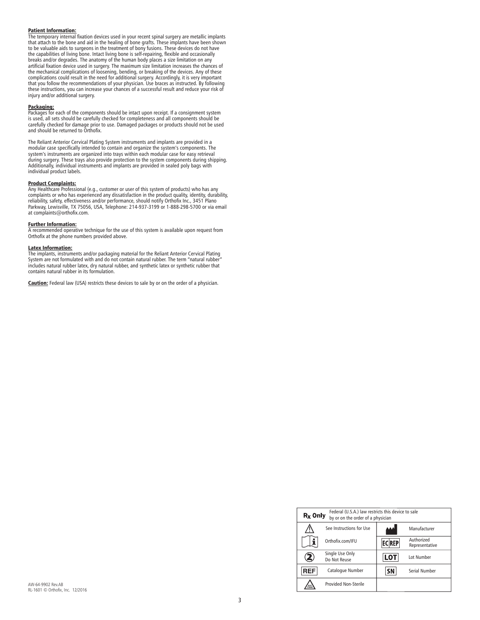# Patient Information:

The temporary internal fixation devices used in your recent spinal surgery are metallic implants that attach to the bone and aid in the healing of bone grafts. These implants have been shown to be valuable aids to surgeons in the treatment of bony fusions. These devices do not have<br>the capabilities of living bone. Intact living bone is self-repairing, flexible and occasionally<br>breaks and/or degrades. The anato artificial fixation device used in surgery. The maximum size limitation increases the chances of the mechanical complications of loosening, bending, or breaking of the devices. Any of these complications could result in the need for additional surgery. Accordingly, it is very important that you follow the recommendations of your physician. Use braces as instructed. By following<br>these instructions, you can increase your chances of a successful result and reduce your risk of<br>injury and/or additional surger

# Packaging:

Packages for each of the components should be intact upon receipt. If a consignment system is used, all sets should be carefully checked for completeness and all components should be carefully checked for damage prior to use. Damaged packages or products should not be used and should be returned to Orthofix.

The Reliant Anterior Cervical Plating System instruments and implants are provided in a modular case specifically intended to contain and organize the system's components. The system's instruments are organized into trays within each modular case for easy retrieval<br>during surgery. These trays also provide protection to the system components during shipping.<br>Additionally, individual instruments a individual product labels.

# Product Complaints:

Any Healthcare Professional (e.g., customer or user of this system of products) who has any<br>complaints or who has experienced any dissatisfaction in the product quality, identity, durability,<br>reliability, safety, effective Parkway, Lewisville, TX 75056, USA, Telephone: 214-937-3199 or 1-888-298-5700 or via email at complaints@orthofix.com.

# Further Information:

A recommended operative technique for the use of this system is available upon request from Orthofix at the phone numbers provided above.

# Latex Information:

The implants, instruments and/or packaging material for the Reliant Anterior Cervical Plating System are not formulated with and do not contain natural rubber. The term "natural rubber includes natural rubber latex, dry natural rubber, and synthetic latex or synthetic rubber that contains natural rubber in its formulation.

Caution: Federal law (USA) restricts these devices to sale by or on the order of a physician.

| Federal (U.S.A.) law restricts this device to sale<br>$Rx$ Only<br>by or on the order of a physician |                                 |              |                              |  |
|------------------------------------------------------------------------------------------------------|---------------------------------|--------------|------------------------------|--|
|                                                                                                      | See Instructions for Use        |              | Manufacturer                 |  |
|                                                                                                      | Orthofix.com/IFU                | <b>ECREP</b> | Authorized<br>Representative |  |
|                                                                                                      | Single Use Only<br>Do Not Reuse | <b>LOT</b>   | Lot Number                   |  |
| <b>REF</b>                                                                                           | Catalogue Number                | SΝ           | <b>Serial Number</b>         |  |
| NON                                                                                                  | <b>Provided Non-Sterile</b>     |              |                              |  |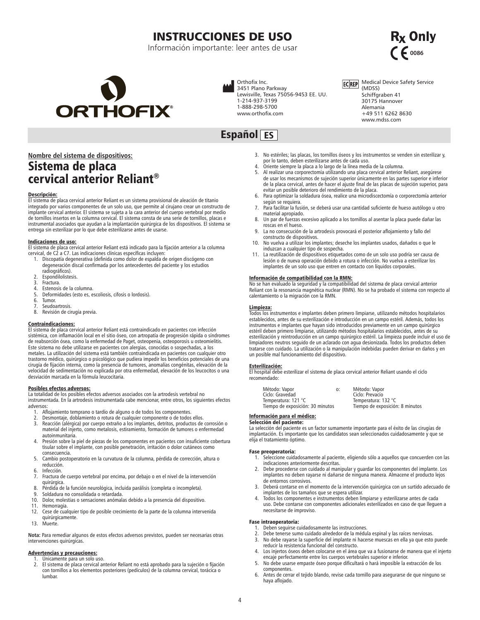# INSTRUCCIONES DE USO

Información importante: leer antes de usar

<span id="page-3-0"></span>

Orthofix Inc. 3451 Plano Parkway Lewisville, Texas 75056-9453 EE. UU. 1-214-937-3199 1-888-298-5700 www.orthofix.com



### Medical Device Safety Service **ECREP** (MDSS) Schiffgraben 41 30175 Hannover

 $666$ 

R<sub>x</sub> Only

Alemania +49 511 6262 8630 www.mdss.com

# **Nombre del sistema de dispositivos:** Sistema de placa cervical anterior Reliant®

# Descripción:

El sistema de placa cervical anterior Reliant es un sistema provisional de aleación de titanio integrado por varios componentes de un solo uso, que permite al cirujano crear un constructo de implante cervical anterior. El sistema se sujeta a la cara anterior del cuerpo vertebral por medio de tornillos insertos en la columna cervical. El sistema consta de una serie de tornillos, placas e instrumental asociados que ayudan a la implantación quirúrgica de los dispositivos. El sistema se entrega sin esterilizar por lo que debe esterilizarse antes de usarse.

# Indicaciones de uso:

El sistema de placa cervical anterior Reliant está indicado para la fijación anterior a la columna

- cervical, de C2 a C7. Las indicaciones clínicas específicas incluyen:<br>1. Discopatía degenerativa (definida como dolor de espalda de origen discógeno con<br>degeneración discal confirmada por los antecedentes del paciente y lo radiográficos).
	-
- 2. Espondilolistesis.<br>3. Fractura.
- 3. Fractura.<br>4. Estenosi: Estenosis de la columna.
- 5. Deformidades (esto es, escoliosis, cifosis o lordosis).
- Tumor.
- 7. Seudoartrosis.<br>8. Revisión de ci
- Revisión de cirugía previa.

# Contraindicaciones:

El sistema de placa cervical anterior Reliant está contraindicado en pacientes con infección sistémica, con inflamación local en el sitio óseo, con artropatía de progresión rápida o síndromes de reabsorción ósea, como la enfermedad de Paget, osteopenia, osteoporosis u osteomielitis. Este sistema no debe utilizarse en pacientes con alergias, conocidas o sospechadas, a los metales. La utilización del sistema está también contraindicada en pacientes con cualquier otro trastorno médico, quirúrgico o psicológico que pudiera impedir los beneficios potenciales de una cirugía de fijación interna, como la presencia de tumores, anomalías congénitas, elevación de la velocidad de sedimentación no explicada por otra enfermedad, elevación de los leucocitos o una desviación marcada en la fórmula leucocitaria.

# Posibles efectos adversos:

La totalidad de los posibles efectos adversos asociados con la artrodesis vertebral no instrumentada. En la artrodesis instrumentada cabe mencionar, entre otros, los siguientes efectos adversos:

- 1. Aflojamiento temprano o tardío de alguno o de todos los componentes.<br>2. Desmontaje, doblamiento o rotura de cualquier componente o de todos
- 2. Desmontaje, doblamiento o rotura de cualquier componente o de todos ellos.
- Reacción (alérgica) por cuerpo extraño a los implantes, detritos, productos de corrosión o material del injerto, como metalosis, estiramiento, formación de tumores o enfermedad autoinmunitaria.
- 4. Presión sobre la piel de piezas de los componentes en pacientes con insuficiente cobertura tisular sobre el implante, con posible penetración, irritación o dolor cutáneos como consecuencia.
- 5. Cambio postoperatorio en la curvatura de la columna, pérdida de corrección, altura o reducción.
- 6. Infección.
- Fractura de cuerpo vertebral por encima, por debajo o en el nivel de la intervención quirúrgica.
- 8. Pérdida de la función neurológica, incluida parálisis (completa o incompleta).<br>9. Soldadura no consolidada o retardada.
- 9. Soldadura no consolidada o retardada.<br>10. Dolor, molestias o sensaciones anómala
- 10. Dolor, molestias o sensaciones anómalas debido a la presencia del dispositivo.
- 11. Hemorragia.<br>12. Cese de cua
- Cese de cualquier tipo de posible crecimiento de la parte de la columna intervenida quirúrgicamente.
- 13. Muerte.

**Nota:** Para remediar algunos de estos efectos adversos previstos, pueden ser necesarias otras intervenciones quirúrgicas.

# Advertencias y precauciones:

- 1. Únicamente para un solo uso.<br>2. El sistema de placa cervical ar
- 2. El sistema de placa cervical anterior Reliant no está aprobado para la sujeción o fijación con tornillos a los elementos posteriores (pedículos) de la columna cervical, torácica o lumbar.
- 3. No estériles; las placas, los tornillos óseos y los instrumentos se venden sin esterilizar y, por lo tanto, deben esterilizarse antes de cada uso.
- 4. Oriente siempre la placa a lo largo de la línea media de la columna.
- 5. Al realizar una corporectomía utilizando una placa cervical anterior Reliant, asegúrese de usar los mecanismos de sujeción superior únicamente en las partes superior e inferior de la placa cervical, antes de hacer el ajuste final de las placas de sujeción superior, para evitar un posible deterioro del rendimiento de la placa.
- 6. Para optimizar la soldadura ósea, realice una microdiscectomía o corporectomía anterior según se requiera.
- 7. Para facilitar la fusión, se deberá usar una cantidad suficiente de hueso autólogo u otro material apropiado.
- 8. Un par de fuerzas excesivo aplicado a los tornillos al asentar la placa puede dañar las roscas en el hueso.
- 9. La no consecución de la artrodesis provocará el posterior aflojamiento y fallo del constructo de dispositivos.
- 10. No vuelva a utilizar los implantes; deseche los implantes usados, dañados o que le induzcan a cualquier tipo de sospecha.
- 11. La reutilización de dispositivos etiquetados como de un solo uso podría ser causa de lesión o de nueva operación debido a rotura o infección. No vuelva a esterilizar los implantes de un solo uso que entren en contacto con líquidos corporales.

# Información de compatibilidad con la RMN:

No se han evaluado la seguridad y la compatibilidad del sistema de placa cervical anterior Reliant con la resonancia magnética nuclear (RMN). No se ha probado el sistema con respecto al calentamiento o la migración con la RMN.

# Limpieza:

Todos los instrumentos e implantes deben primero limpiarse, utilizando métodos hospitalarios establecidos, antes de su esterilización e introducción en un campo estéril. Además, todos los instrumentos e implantes que hayan sido introducidos previamente en un campo quirúrgico estéril deben primero limpiarse, utilizando métodos hospitalarios establecidos, antes de su esterilización y reintroducción en un campo quirúrgico estéril. La limpieza puede incluir el uso de limpiadores neutros seguido de un aclarado con agua desionizada. Todos los productos deben tratarse con cuidado. La utilización o la manipulación indebidas pueden derivar en daños y en un posible mal funcionamiento del dispositivo.

**Esterilización:**<br>El hospital debe esterilizar el sistema de placa cervical anterior Reliant usando el ciclo recomendado:

| Método: Vapor<br>Ciclo: Gravedad                        | 0. | Método: Vapor<br>Ciclo: Prevacío                       |
|---------------------------------------------------------|----|--------------------------------------------------------|
| Temperatura: 121 °C<br>Tiempo de exposición: 30 minutos |    | Temperatura: 132 °C<br>Tiempo de exposición: 8 minutos |
|                                                         |    |                                                        |

# Información para el médico: Selección del paciente:

La selección del paciente es un factor sumamente importante para el éxito de las cirugías de implantación. Es importante que los candidatos sean seleccionados cuidadosamente y que se elija el tratamiento óptimo.

# Fase preoperatoria:

- 1. Seleccione cuidadosamente al paciente, eligiendo sólo a aquellos que concuerden con las indicaciones anteriormente descritas.
- 2. Debe procederse con cuidado al manipular y guardar los componentes del implante. Los implantes no deben rayarse ni dañarse de ninguna manera. Almacene el producto lejos de entornos corrosivos.
- 3. Deberá contarse en el momento de la intervención quirúrgica con un surtido adecuado de implantes de los tamaños que se espera utilizar.
- 4. Todos los componentes e instrumentos deben limpiarse y esterilizarse antes de cada uso. Debe contarse con componentes adicionales esterilizados en caso de que lleguen a necesitarse de improviso.

# Fase intraoperatoria:

- 1. Deben seguirse cuidadosamente las instrucciones.
- 2. Debe tenerse sumo cuidado alrededor de la médula espinal y las raíces nerviosas.
- 3. No debe rayarse la superficie del implante ni hacerse muescas en ella ya que esto puede reducir la resistencia funcional del constructo.
- 4. Los injertos óseos deben colocarse en el área que va a fusionarse de manera que el injerto encaje perfectamente entre los cuerpos vertebrales superior e inferior. 5. No debe usarse empaste óseo porque dificultará o hará imposible la extracción de los
- componentes.
- 6. Antes de cerrar el tejido blando, revise cada tornillo para asegurarse de que ninguno se haya aflojado.